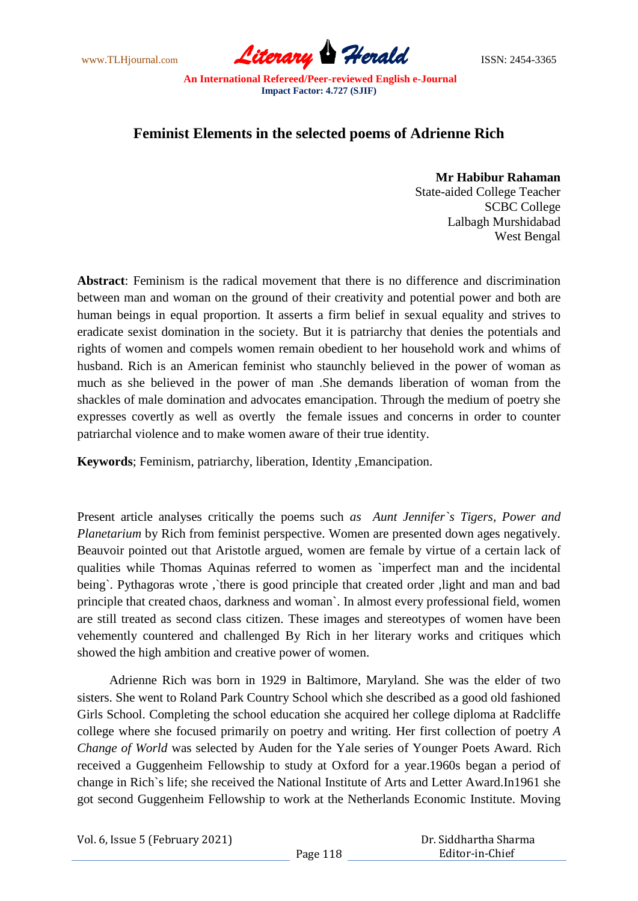www.TLHjournal.com **Literary Herald Herald** ISSN: 2454-3365

## **Feminist Elements in the selected poems of Adrienne Rich**

**Mr Habibur Rahaman**

 State-aided College Teacher SCBC College Lalbagh Murshidabad West Bengal

**Abstract**: Feminism is the radical movement that there is no difference and discrimination between man and woman on the ground of their creativity and potential power and both are human beings in equal proportion. It asserts a firm belief in sexual equality and strives to eradicate sexist domination in the society. But it is patriarchy that denies the potentials and rights of women and compels women remain obedient to her household work and whims of husband. Rich is an American feminist who staunchly believed in the power of woman as much as she believed in the power of man .She demands liberation of woman from the shackles of male domination and advocates emancipation. Through the medium of poetry she expresses covertly as well as overtly the female issues and concerns in order to counter patriarchal violence and to make women aware of their true identity.

**Keywords**; Feminism, patriarchy, liberation, Identity ,Emancipation.

Present article analyses critically the poems such *as Aunt Jennifer`s Tigers, Power and Planetarium* by Rich from feminist perspective. Women are presented down ages negatively. Beauvoir pointed out that Aristotle argued, women are female by virtue of a certain lack of qualities while Thomas Aquinas referred to women as `imperfect man and the incidental being`. Pythagoras wrote,`there is good principle that created order, light and man and bad principle that created chaos, darkness and woman`. In almost every professional field, women are still treated as second class citizen. These images and stereotypes of women have been vehemently countered and challenged By Rich in her literary works and critiques which showed the high ambition and creative power of women.

 Adrienne Rich was born in 1929 in Baltimore, Maryland. She was the elder of two sisters. She went to Roland Park Country School which she described as a good old fashioned Girls School. Completing the school education she acquired her college diploma at Radcliffe college where she focused primarily on poetry and writing. Her first collection of poetry *A Change of World* was selected by Auden for the Yale series of Younger Poets Award. Rich received a Guggenheim Fellowship to study at Oxford for a year.1960s began a period of change in Rich`s life; she received the National Institute of Arts and Letter Award.In1961 she got second Guggenheim Fellowship to work at the Netherlands Economic Institute. Moving

Vol. 6, Issue 5 (February 2021) Page 118 Dr. Siddhartha Sharma Editor-in-Chief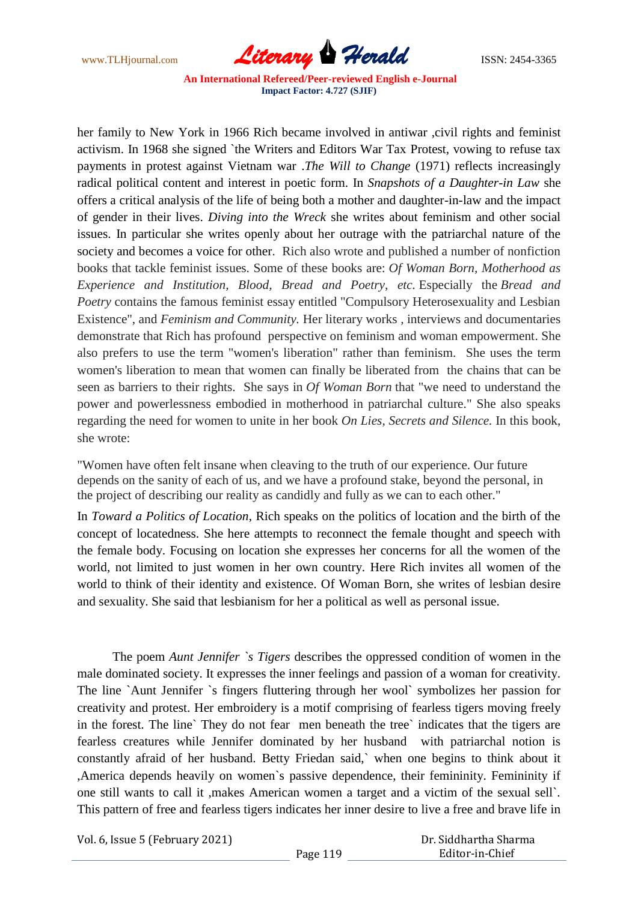www.TLHjournal.com *Literary Herald*ISSN: 2454-3365

her family to New York in 1966 Rich became involved in antiwar , civil rights and feminist activism. In 1968 she signed `the Writers and Editors War Tax Protest, vowing to refuse tax payments in protest against Vietnam war .*The Will to Change* (1971) reflects increasingly radical political content and interest in poetic form. In *Snapshots of a Daughter-in Law* she offers a critical analysis of the life of being both a mother and daughter-in-law and the impact of gender in their lives. *Diving into the Wreck* she writes about feminism and other social issues. In particular she writes openly about her outrage with the patriarchal nature of the society and becomes a voice for other. Rich also wrote and published a number of nonfiction books that tackle feminist issues. Some of these books are: *Of Woman Born, Motherhood as Experience and Institution, Blood, Bread and Poetry, etc.* Especially the *Bread and Poetry* contains the famous feminist essay entitled "Compulsory Heterosexuality and Lesbian Existence", and *Feminism and Community.* Her literary works *,* interviews and documentaries demonstrate that Rich has profound perspective on feminism and woman empowerment. She also prefers to use the term "women's liberation" rather than feminism. She uses the term women's liberation to mean that women can finally be liberated from the chains that can be seen as barriers to their rights. She says in *Of Woman Born* that "we need to understand the power and powerlessness embodied in motherhood in patriarchal culture." She also speaks regarding the need for women to unite in her book *On Lies, Secrets and Silence.* In this book, she wrote:

"Women have often felt insane when cleaving to the truth of our experience. Our future depends on the sanity of each of us, and we have a profound stake, beyond the personal, in the project of describing our reality as candidly and fully as we can to each other."

In *Toward a Politics of Location*, Rich speaks on the politics of location and the birth of the concept of locatedness. She here attempts to reconnect the female thought and speech with the female body. Focusing on location she expresses her concerns for all the women of the world, not limited to just women in her own country. Here Rich invites all women of the world to think of their identity and existence. Of Woman Born, she writes of lesbian desire and sexuality. She said that lesbianism for her a political as well as personal issue.

 The poem *Aunt Jennifer `s Tigers* describes the oppressed condition of women in the male dominated society. It expresses the inner feelings and passion of a woman for creativity. The line `Aunt Jennifer `s fingers fluttering through her wool` symbolizes her passion for creativity and protest. Her embroidery is a motif comprising of fearless tigers moving freely in the forest. The line` They do not fear men beneath the tree` indicates that the tigers are fearless creatures while Jennifer dominated by her husband with patriarchal notion is constantly afraid of her husband. Betty Friedan said,` when one begins to think about it ,America depends heavily on women`s passive dependence, their femininity. Femininity if one still wants to call it ,makes American women a target and a victim of the sexual sell`. This pattern of free and fearless tigers indicates her inner desire to live a free and brave life in

Vol. 6, Issue 5 (February 2021)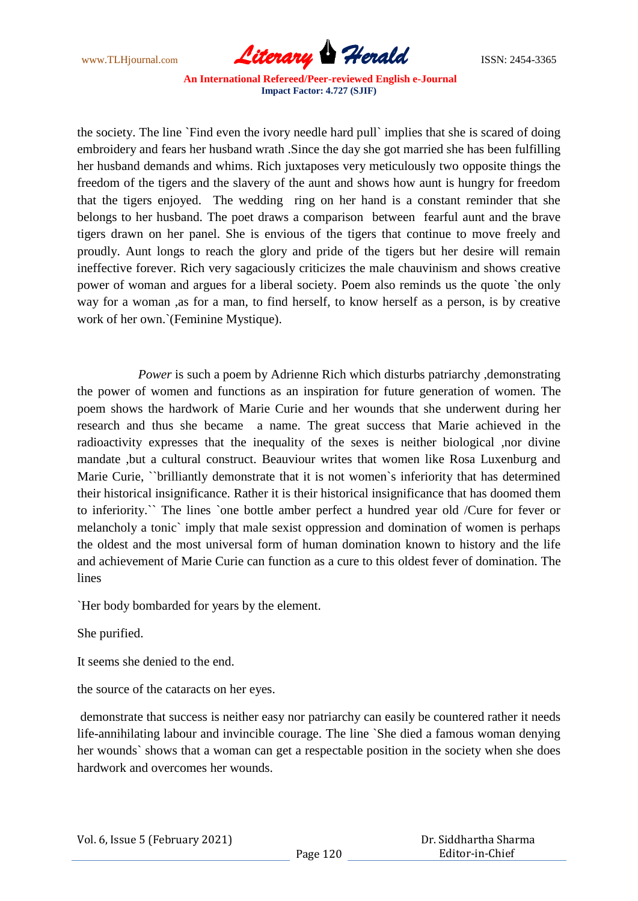www.TLHjournal.com *Literary Herald*ISSN: 2454-3365

the society. The line `Find even the ivory needle hard pull` implies that she is scared of doing embroidery and fears her husband wrath .Since the day she got married she has been fulfilling her husband demands and whims. Rich juxtaposes very meticulously two opposite things the freedom of the tigers and the slavery of the aunt and shows how aunt is hungry for freedom that the tigers enjoyed. The wedding ring on her hand is a constant reminder that she belongs to her husband. The poet draws a comparison between fearful aunt and the brave tigers drawn on her panel. She is envious of the tigers that continue to move freely and proudly. Aunt longs to reach the glory and pride of the tigers but her desire will remain ineffective forever. Rich very sagaciously criticizes the male chauvinism and shows creative power of woman and argues for a liberal society. Poem also reminds us the quote `the only way for a woman ,as for a man, to find herself, to know herself as a person, is by creative work of her own.`(Feminine Mystique).

*Power* is such a poem by Adrienne Rich which disturbs patriarchy, demonstrating the power of women and functions as an inspiration for future generation of women. The poem shows the hardwork of Marie Curie and her wounds that she underwent during her research and thus she became a name. The great success that Marie achieved in the radioactivity expresses that the inequality of the sexes is neither biological ,nor divine mandate ,but a cultural construct. Beauviour writes that women like Rosa Luxenburg and Marie Curie, ``brilliantly demonstrate that it is not women`s inferiority that has determined their historical insignificance. Rather it is their historical insignificance that has doomed them to inferiority.`` The lines `one bottle amber perfect a hundred year old /Cure for fever or melancholy a tonic` imply that male sexist oppression and domination of women is perhaps the oldest and the most universal form of human domination known to history and the life and achievement of Marie Curie can function as a cure to this oldest fever of domination. The lines

`Her body bombarded for years by the element.

She purified.

It seems she denied to the end.

the source of the cataracts on her eyes.

demonstrate that success is neither easy nor patriarchy can easily be countered rather it needs life-annihilating labour and invincible courage. The line `She died a famous woman denying her wounds` shows that a woman can get a respectable position in the society when she does hardwork and overcomes her wounds.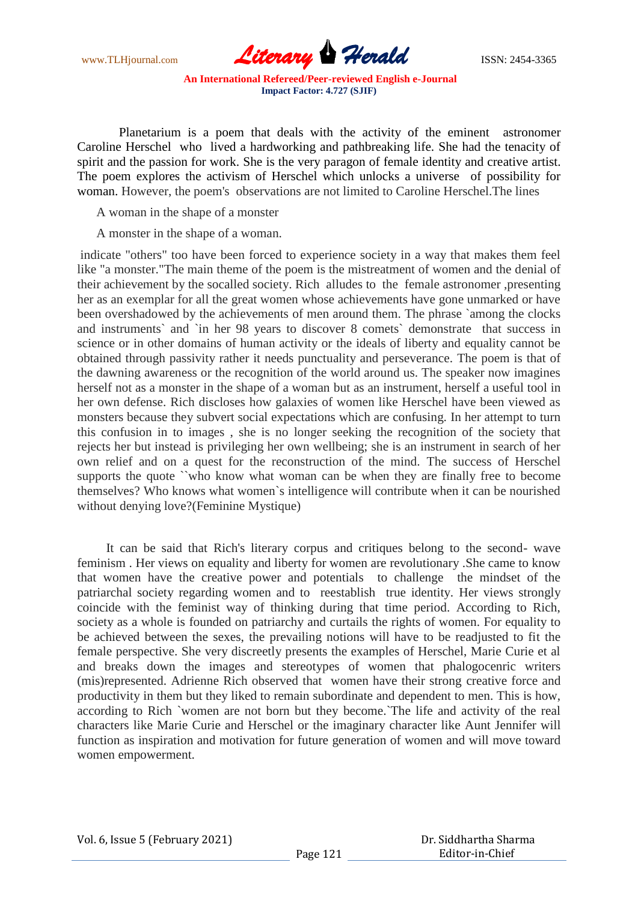www.TLHjournal.com **Literary Herald Herald** ISSN: 2454-3365

Planetarium is a poem that deals with the activity of the eminent astronomer Caroline Herschel who lived a hardworking and pathbreaking life. She had the tenacity of spirit and the passion for work. She is the very paragon of female identity and creative artist. The poem explores the activism of Herschel which unlocks a universe of possibility for woman. However, the poem's observations are not limited to Caroline Herschel.The lines

A woman in the shape of a monster

A monster in the shape of a woman.

indicate "others" too have been forced to experience society in a way that makes them feel like "a monster."The main theme of the poem is the mistreatment of women and the denial of their achievement by the socalled society. Rich alludes to the female astronomer ,presenting her as an exemplar for all the great women whose achievements have gone unmarked or have been overshadowed by the achievements of men around them. The phrase `among the clocks and instruments` and `in her 98 years to discover 8 comets` demonstrate that success in science or in other domains of human activity or the ideals of liberty and equality cannot be obtained through passivity rather it needs punctuality and perseverance. The poem is that of the dawning awareness or the recognition of the world around us. The speaker now imagines herself not as a monster in the shape of a woman but as an instrument, herself a useful tool in her own defense. Rich discloses how galaxies of women like Herschel have been viewed as monsters because they subvert social expectations which are confusing. In her attempt to turn this confusion in to images , she is no longer seeking the recognition of the society that rejects her but instead is privileging her own wellbeing; she is an instrument in search of her own relief and on a quest for the reconstruction of the mind. The success of Herschel supports the quote ``who know what woman can be when they are finally free to become themselves? Who knows what women`s intelligence will contribute when it can be nourished without denying love?(Feminine Mystique)

 It can be said that Rich's literary corpus and critiques belong to the second- wave feminism . Her views on equality and liberty for women are revolutionary .She came to know that women have the creative power and potentials to challenge the mindset of the patriarchal society regarding women and to reestablish true identity. Her views strongly coincide with the feminist way of thinking during that time period. According to Rich, society as a whole is founded on patriarchy and curtails the rights of women. For equality to be achieved between the sexes, the prevailing notions will have to be readjusted to fit the female perspective. She very discreetly presents the examples of Herschel, Marie Curie et al and breaks down the images and stereotypes of women that phalogocenric writers (mis)represented. Adrienne Rich observed that women have their strong creative force and productivity in them but they liked to remain subordinate and dependent to men. This is how, according to Rich `women are not born but they become.`The life and activity of the real characters like Marie Curie and Herschel or the imaginary character like Aunt Jennifer will function as inspiration and motivation for future generation of women and will move toward women empowerment.